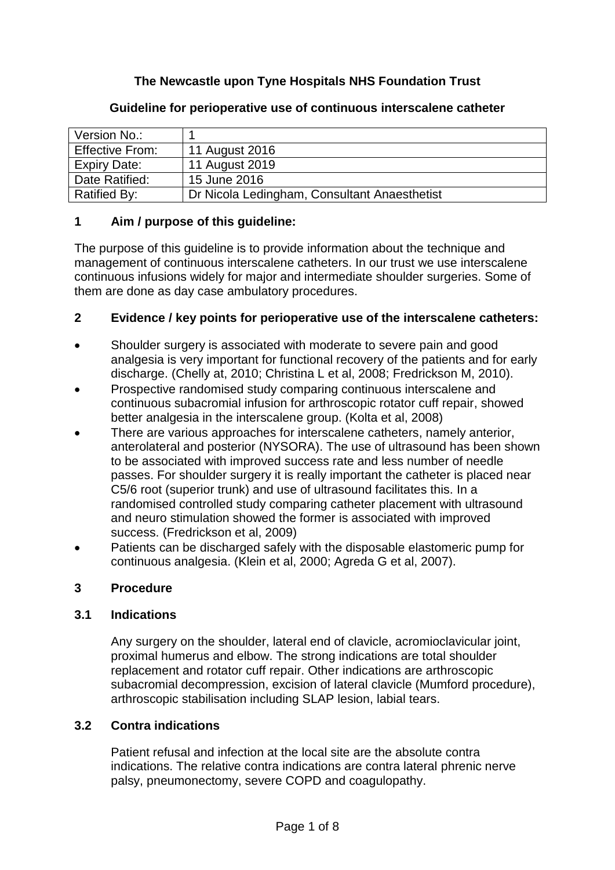# **The Newcastle upon Tyne Hospitals NHS Foundation Trust**

| Version No.:           |                                              |
|------------------------|----------------------------------------------|
| <b>Effective From:</b> | 11 August 2016                               |
| <b>Expiry Date:</b>    | 11 August 2019                               |
| Date Ratified:         | 15 June 2016                                 |
| <b>Ratified By:</b>    | Dr Nicola Ledingham, Consultant Anaesthetist |

#### **Guideline for perioperative use of continuous interscalene catheter**

# **1 Aim / purpose of this guideline:**

The purpose of this guideline is to provide information about the technique and management of continuous interscalene catheters. In our trust we use interscalene continuous infusions widely for major and intermediate shoulder surgeries. Some of them are done as day case ambulatory procedures.

#### **2 Evidence / key points for perioperative use of the interscalene catheters:**

- Shoulder surgery is associated with moderate to severe pain and good analgesia is very important for functional recovery of the patients and for early discharge. (Chelly at, 2010; Christina L et al, 2008; Fredrickson M, 2010).
- Prospective randomised study comparing continuous interscalene and continuous subacromial infusion for arthroscopic rotator cuff repair, showed better analgesia in the interscalene group. (Kolta et al, 2008)
- There are various approaches for interscalene catheters, namely anterior, anterolateral and posterior (NYSORA). The use of ultrasound has been shown to be associated with improved success rate and less number of needle passes. For shoulder surgery it is really important the catheter is placed near C5/6 root (superior trunk) and use of ultrasound facilitates this. In a randomised controlled study comparing catheter placement with ultrasound and neuro stimulation showed the former is associated with improved success. (Fredrickson et al, 2009)
- Patients can be discharged safely with the disposable elastomeric pump for continuous analgesia. (Klein et al, 2000; Agreda G et al, 2007).

#### **3 Procedure**

#### **3.1 Indications**

Any surgery on the shoulder, lateral end of clavicle, acromioclavicular joint, proximal humerus and elbow. The strong indications are total shoulder replacement and rotator cuff repair. Other indications are arthroscopic subacromial decompression, excision of lateral clavicle (Mumford procedure), arthroscopic stabilisation including SLAP lesion, labial tears.

#### **3.2 Contra indications**

Patient refusal and infection at the local site are the absolute contra indications. The relative contra indications are contra lateral phrenic nerve palsy, pneumonectomy, severe COPD and coagulopathy.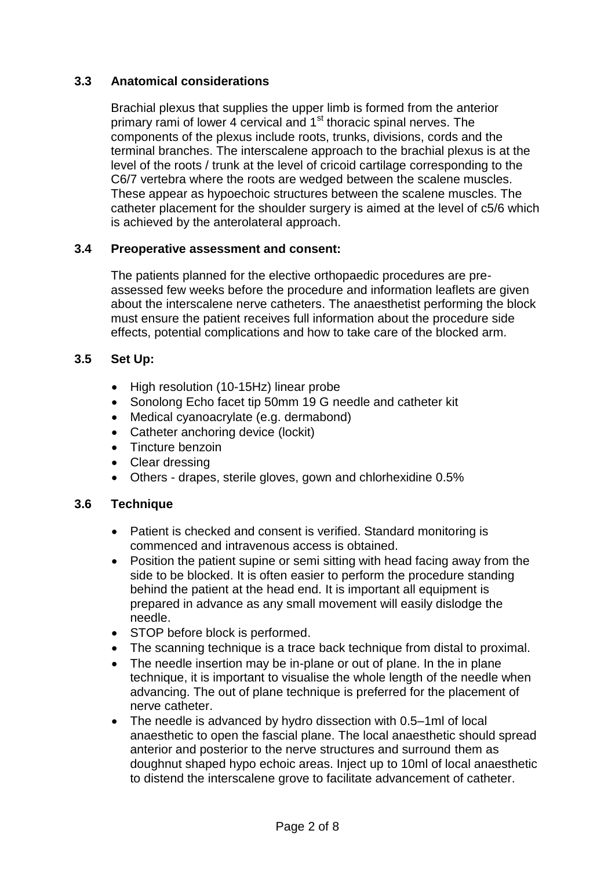# **3.3 Anatomical considerations**

Brachial plexus that supplies the upper limb is formed from the anterior primary rami of lower 4 cervical and 1<sup>st</sup> thoracic spinal nerves. The components of the plexus include roots, trunks, divisions, cords and the terminal branches. The interscalene approach to the brachial plexus is at the level of the roots / trunk at the level of cricoid cartilage corresponding to the C6/7 vertebra where the roots are wedged between the scalene muscles. These appear as hypoechoic structures between the scalene muscles. The catheter placement for the shoulder surgery is aimed at the level of c5/6 which is achieved by the anterolateral approach.

#### **3.4 Preoperative assessment and consent:**

The patients planned for the elective orthopaedic procedures are preassessed few weeks before the procedure and information leaflets are given about the interscalene nerve catheters. The anaesthetist performing the block must ensure the patient receives full information about the procedure side effects, potential complications and how to take care of the blocked arm.

### **3.5 Set Up:**

- High resolution (10-15Hz) linear probe
- Sonolong Echo facet tip 50mm 19 G needle and catheter kit
- Medical cyanoacrylate (e.g. dermabond)
- Catheter anchoring device (lockit)
- Tincture benzoin
- Clear dressing
- Others drapes, sterile gloves, gown and chlorhexidine 0.5%

#### **3.6 Technique**

- Patient is checked and consent is verified. Standard monitoring is commenced and intravenous access is obtained.
- Position the patient supine or semi sitting with head facing away from the side to be blocked. It is often easier to perform the procedure standing behind the patient at the head end. It is important all equipment is prepared in advance as any small movement will easily dislodge the needle.
- STOP before block is performed.
- The scanning technique is a trace back technique from distal to proximal.
- The needle insertion may be in-plane or out of plane. In the in plane technique, it is important to visualise the whole length of the needle when advancing. The out of plane technique is preferred for the placement of nerve catheter.
- The needle is advanced by hydro dissection with 0.5–1ml of local anaesthetic to open the fascial plane. The local anaesthetic should spread anterior and posterior to the nerve structures and surround them as doughnut shaped hypo echoic areas. Inject up to 10ml of local anaesthetic to distend the interscalene grove to facilitate advancement of catheter.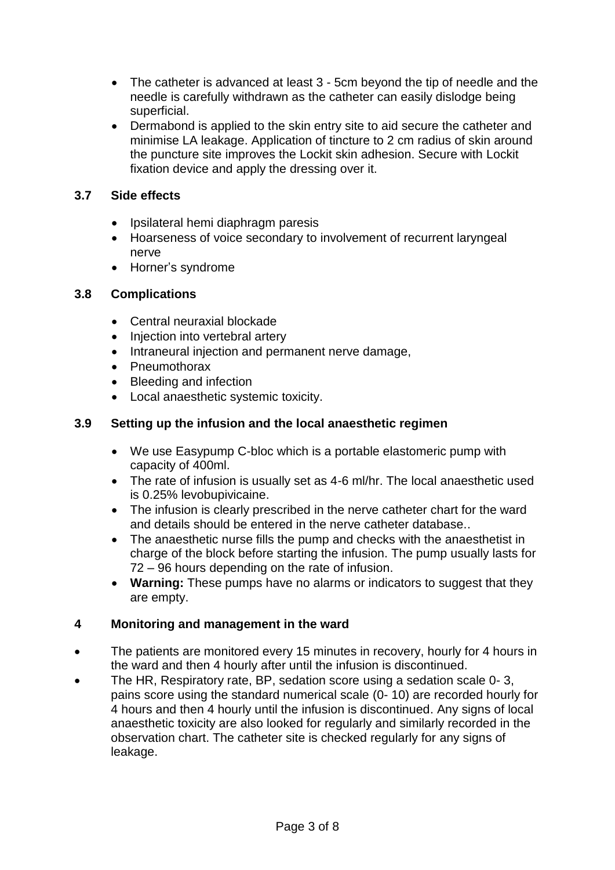- The catheter is advanced at least 3 5cm beyond the tip of needle and the needle is carefully withdrawn as the catheter can easily dislodge being superficial.
- Dermabond is applied to the skin entry site to aid secure the catheter and minimise LA leakage. Application of tincture to 2 cm radius of skin around the puncture site improves the Lockit skin adhesion. Secure with Lockit fixation device and apply the dressing over it.

### **3.7 Side effects**

- Ipsilateral hemi diaphragm paresis
- Hoarseness of voice secondary to involvement of recurrent laryngeal nerve
- Horner's syndrome

### **3.8 Complications**

- Central neuraxial blockade
- Injection into vertebral artery
- Intraneural injection and permanent nerve damage,
- Pneumothorax
- Bleeding and infection
- Local anaesthetic systemic toxicity.

### **3.9 Setting up the infusion and the local anaesthetic regimen**

- We use Easypump C-bloc which is a portable elastomeric pump with capacity of 400ml.
- The rate of infusion is usually set as 4-6 ml/hr. The local anaesthetic used is 0.25% levobupivicaine.
- The infusion is clearly prescribed in the nerve catheter chart for the ward and details should be entered in the nerve catheter database..
- The anaesthetic nurse fills the pump and checks with the anaesthetist in charge of the block before starting the infusion. The pump usually lasts for 72 – 96 hours depending on the rate of infusion.
- **Warning:** These pumps have no alarms or indicators to suggest that they are empty.

# **4 Monitoring and management in the ward**

- The patients are monitored every 15 minutes in recovery, hourly for 4 hours in the ward and then 4 hourly after until the infusion is discontinued.
- The HR, Respiratory rate, BP, sedation score using a sedation scale 0- 3, pains score using the standard numerical scale (0- 10) are recorded hourly for 4 hours and then 4 hourly until the infusion is discontinued. Any signs of local anaesthetic toxicity are also looked for regularly and similarly recorded in the observation chart. The catheter site is checked regularly for any signs of leakage.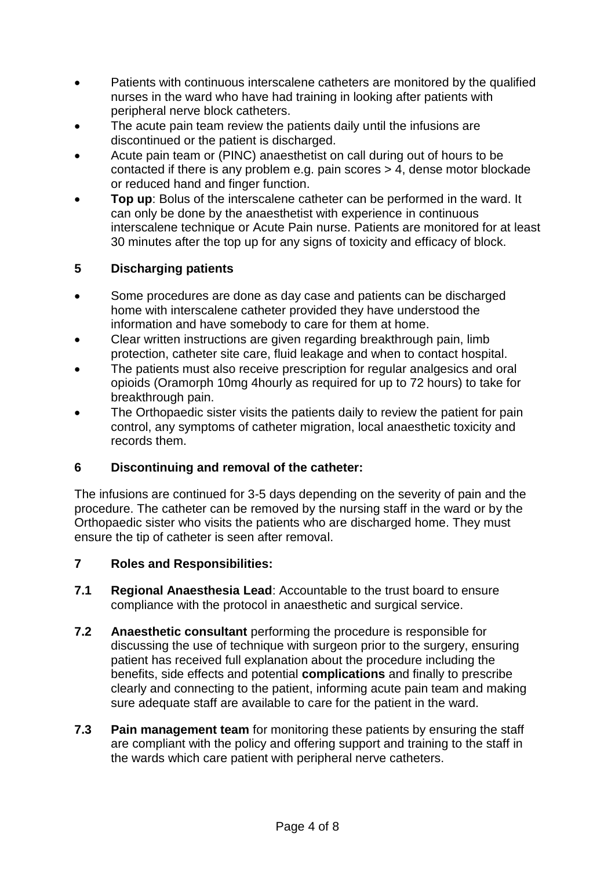- Patients with continuous interscalene catheters are monitored by the qualified nurses in the ward who have had training in looking after patients with peripheral nerve block catheters.
- The acute pain team review the patients daily until the infusions are discontinued or the patient is discharged.
- Acute pain team or (PINC) anaesthetist on call during out of hours to be contacted if there is any problem e.g. pain scores > 4, dense motor blockade or reduced hand and finger function.
- **Top up**: Bolus of the interscalene catheter can be performed in the ward. It can only be done by the anaesthetist with experience in continuous interscalene technique or Acute Pain nurse. Patients are monitored for at least 30 minutes after the top up for any signs of toxicity and efficacy of block.

# **5 Discharging patients**

- Some procedures are done as day case and patients can be discharged home with interscalene catheter provided they have understood the information and have somebody to care for them at home.
- Clear written instructions are given regarding breakthrough pain, limb protection, catheter site care, fluid leakage and when to contact hospital.
- The patients must also receive prescription for regular analgesics and oral opioids (Oramorph 10mg 4hourly as required for up to 72 hours) to take for breakthrough pain.
- The Orthopaedic sister visits the patients daily to review the patient for pain control, any symptoms of catheter migration, local anaesthetic toxicity and records them.

# **6 Discontinuing and removal of the catheter:**

The infusions are continued for 3-5 days depending on the severity of pain and the procedure. The catheter can be removed by the nursing staff in the ward or by the Orthopaedic sister who visits the patients who are discharged home. They must ensure the tip of catheter is seen after removal.

# **7 Roles and Responsibilities:**

- **7.1 Regional Anaesthesia Lead**: Accountable to the trust board to ensure compliance with the protocol in anaesthetic and surgical service.
- **7.2 Anaesthetic consultant** performing the procedure is responsible for discussing the use of technique with surgeon prior to the surgery, ensuring patient has received full explanation about the procedure including the benefits, side effects and potential **complications** and finally to prescribe clearly and connecting to the patient, informing acute pain team and making sure adequate staff are available to care for the patient in the ward.
- **7.3 Pain management team** for monitoring these patients by ensuring the staff are compliant with the policy and offering support and training to the staff in the wards which care patient with peripheral nerve catheters.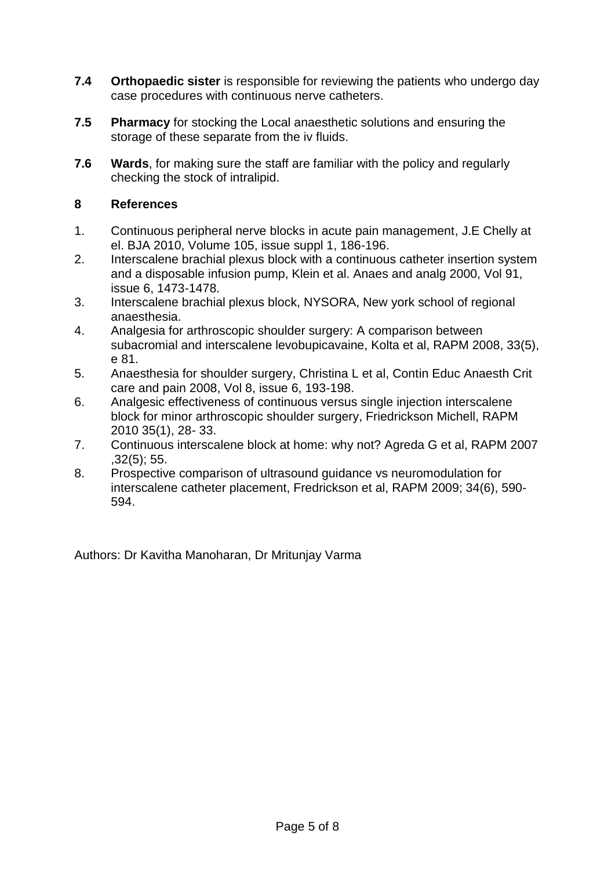- **7.4 Orthopaedic sister** is responsible for reviewing the patients who undergo day case procedures with continuous nerve catheters.
- **7.5 Pharmacy** for stocking the Local anaesthetic solutions and ensuring the storage of these separate from the iv fluids.
- **7.6 Wards**, for making sure the staff are familiar with the policy and regularly checking the stock of intralipid.

#### **8 References**

- 1. Continuous peripheral nerve blocks in acute pain management, J.E Chelly at el. BJA 2010, Volume 105, issue suppl 1, 186-196.
- 2. Interscalene brachial plexus block with a continuous catheter insertion system and a disposable infusion pump, Klein et al. Anaes and analg 2000, Vol 91, issue 6, 1473-1478.
- 3. Interscalene brachial plexus block, NYSORA, New york school of regional anaesthesia.
- 4. Analgesia for arthroscopic shoulder surgery: A comparison between subacromial and interscalene levobupicavaine, Kolta et al, RAPM 2008, 33(5), e 81.
- 5. Anaesthesia for shoulder surgery, Christina L et al, Contin Educ Anaesth Crit care and pain 2008, Vol 8, issue 6, 193-198.
- 6. Analgesic effectiveness of continuous versus single injection interscalene block for minor arthroscopic shoulder surgery, Friedrickson Michell, RAPM 2010 35(1), 28- 33.
- 7. Continuous interscalene block at home: why not? Agreda G et al, RAPM 2007 ,32(5); 55.
- 8. Prospective comparison of ultrasound guidance vs neuromodulation for interscalene catheter placement, Fredrickson et al, RAPM 2009; 34(6), 590- 594.

Authors: Dr Kavitha Manoharan, Dr Mritunjay Varma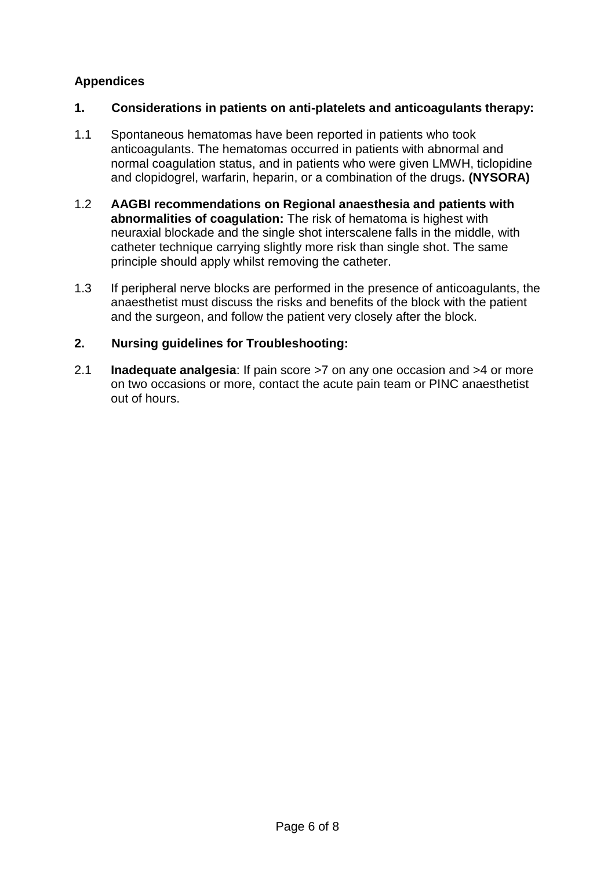# **Appendices**

### **1. Considerations in patients on anti-platelets and anticoagulants therapy:**

- 1.1 Spontaneous hematomas have been reported in patients who took anticoagulants. The hematomas occurred in patients with abnormal and normal coagulation status, and in patients who were given LMWH, ticlopidine and clopidogrel, warfarin, heparin, or a combination of the drugs**. (NYSORA)**
- 1.2 **AAGBI recommendations on Regional anaesthesia and patients with abnormalities of coagulation:** The risk of hematoma is highest with neuraxial blockade and the single shot interscalene falls in the middle, with catheter technique carrying slightly more risk than single shot. The same principle should apply whilst removing the catheter.
- 1.3 If peripheral nerve blocks are performed in the presence of anticoagulants, the anaesthetist must discuss the risks and benefits of the block with the patient and the surgeon, and follow the patient very closely after the block.

### **2. Nursing guidelines for Troubleshooting:**

2.1 **Inadequate analgesia**: If pain score >7 on any one occasion and >4 or more on two occasions or more, contact the acute pain team or PINC anaesthetist out of hours.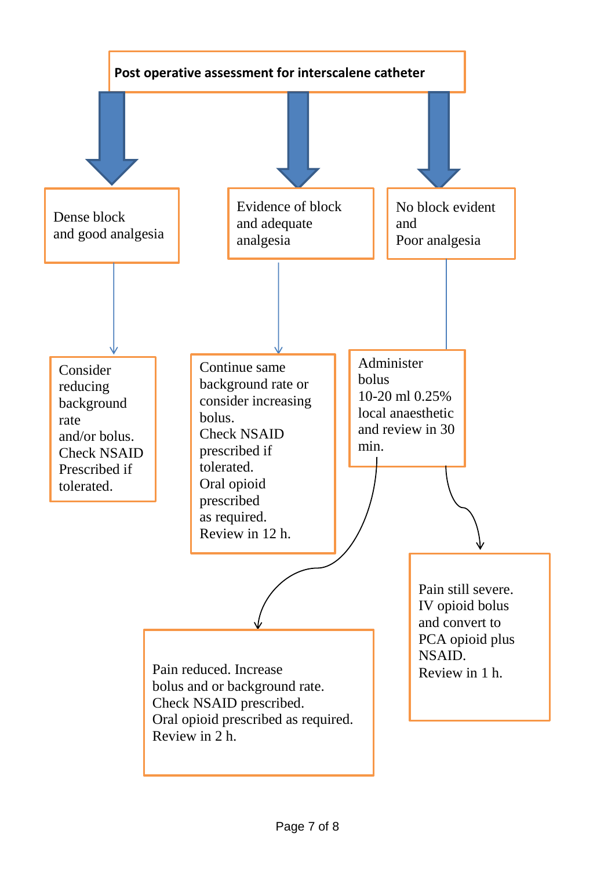